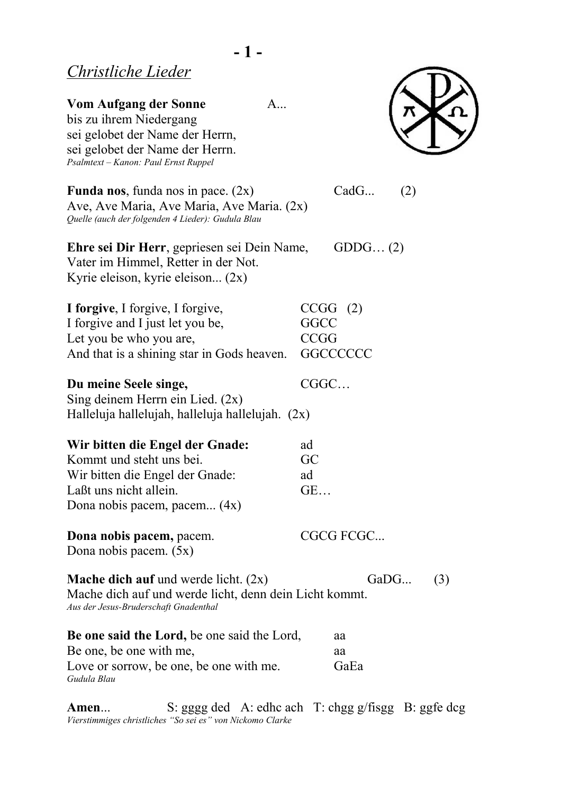*Gudula Blau*

| <b>Vom Aufgang der Sonne</b><br>A<br>bis zu ihrem Niedergang<br>sei gelobet der Name der Herrn,<br>sei gelobet der Name der Herrn.<br>Psalmtext - Kanon: Paul Ernst Ruppel |                                                           |
|----------------------------------------------------------------------------------------------------------------------------------------------------------------------------|-----------------------------------------------------------|
| <b>Funda nos</b> , funda nos in pace. $(2x)$<br>Ave, Ave Maria, Ave Maria, Ave Maria. (2x)<br>Quelle (auch der folgenden 4 Lieder): Gudula Blau                            | CadG<br>(2)                                               |
| Ehre sei Dir Herr, gepriesen sei Dein Name,<br>Vater im Himmel, Retter in der Not.<br>Kyrie eleison, kyrie eleison (2x)                                                    | GDDG $(2)$                                                |
| I forgive, I forgive, I forgive,<br>I forgive and I just let you be,<br>Let you be who you are,<br>And that is a shining star in Gods heaven.                              | CCGG (2)<br><b>GGCC</b><br><b>CCGG</b><br><b>GGCCCCCC</b> |
| Du meine Seele singe,<br>Sing deinem Herrn ein Lied. $(2x)$<br>Halleluja hallelujah, halleluja hallelujah. (2x)                                                            | CGGC                                                      |
| Wir bitten die Engel der Gnade:<br>Kommt und steht uns bei.<br>Wir bitten die Engel der Gnade:<br>Laßt uns nicht allein.<br>Dona nobis pacem, pacem (4x)                   | ad<br>GC<br>ad<br>GE                                      |
| Dona nobis pacem, pacem.<br>Dona nobis pacem. (5x)                                                                                                                         | CGCG FCGC                                                 |
| <b>Mache dich auf</b> und werde licht. $(2x)$<br>Mache dich auf und werde licht, denn dein Licht kommt.<br>Aus der Jesus-Bruderschaft Gnadenthal                           | GaDG<br>(3)                                               |
| <b>Be one said the Lord, be one said the Lord,</b><br>Be one, be one with me,<br>Love or sorrow, be one, be one with me.                                                   | aa<br>aa<br>GaEa                                          |

**Amen**... S: gggg ded A: edhc ach T: chgg g/fisgg B: ggfe dcg *Vierstimmiges christliches "So sei es" von Nickomo Clarke*

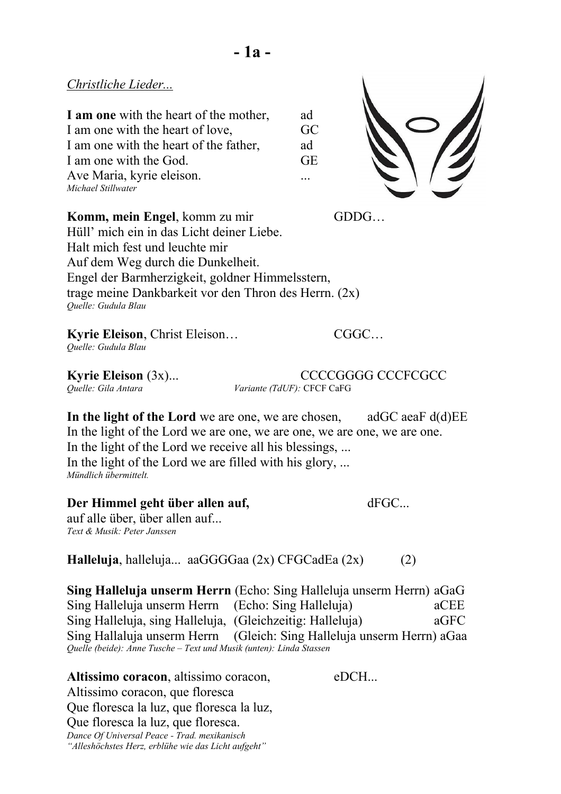**I am one** with the heart of the mother, ad I am one with the heart of love, GC I am one with the heart of the father, ad I am one with the God. GE Ave Maria, kyrie eleison. ... *Michael Stillwater*



**Komm, mein Engel**, komm zu mir GDDG... Hüll' mich ein in das Licht deiner Liebe. Halt mich fest und leuchte mir Auf dem Weg durch die Dunkelheit. Engel der Barmherzigkeit, goldner Himmelsstern, trage meine Dankbarkeit vor den Thron des Herrn. (2x) *Quelle: Gudula Blau*

**- 1a -**

**Kyrie Eleison**, Christ Eleison… CGGC… *Quelle: Gudula Blau*

**Kyrie Eleison** (3x)...<br> *CCCCGGGG* CCCFCGCC<br> *Variante (TdUF):* CFCF CaFG *Variante (TdUF):* CFCF CaFG

**In the light of the Lord** we are one, we are chosen, adGC aeaF d(d)EE In the light of the Lord we are one, we are one, we are one, we are one. In the light of the Lord we receive all his blessings, ... In the light of the Lord we are filled with his glory, ... *Mündlich übermittelt.*

### Der Himmel geht über allen auf, **dFGC...**

auf alle über, über allen auf... *Text & Musik: Peter Janssen*

**Halleluja**, halleluja... aaGGGGaa (2x) CFGCadEa (2x) (2)

**Sing Halleluja unserm Herrn** (Echo: Sing Halleluja unserm Herrn) aGaG Sing Halleluja unserm Herrn (Echo: Sing Halleluja) aCEE Sing Halleluja, sing Halleluja, (Gleichzeitig: Halleluja) aGFC Sing Hallaluja unserm Herrn (Gleich: Sing Halleluja unserm Herrn) aGaa *Quelle (beide): Anne Tusche – Text und Musik (unten): Linda Stassen*

**Altissimo coracon**, altissimo coracon, eDCH... Altissimo coracon, que floresca Que floresca la luz, que floresca la luz, Que floresca la luz, que floresca. *Dance Of Universal Peace - Trad. mexikanisch "Alleshöchstes Herz, erblühe wie das Licht aufgeht"*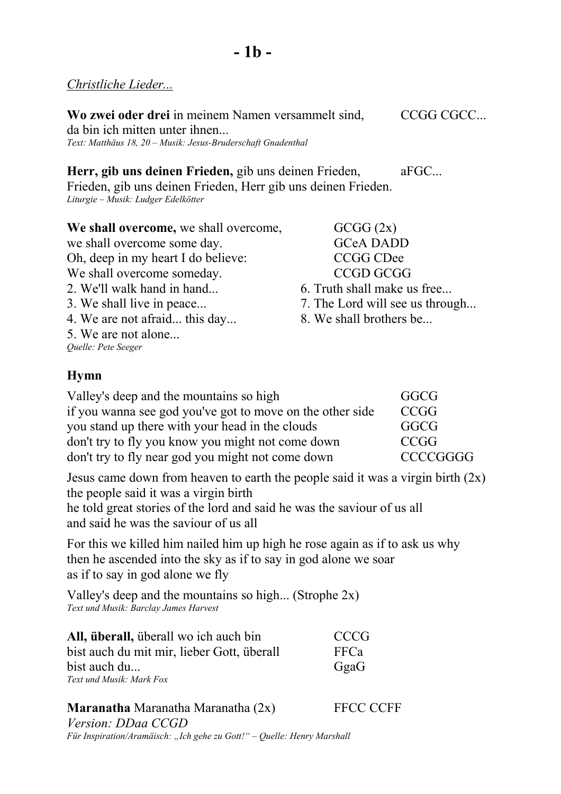# *Christliche Lieder...*

Wo zwei oder drei in meinem Namen versammelt sind, CCGG CGCC... da bin ich mitten unter ihnen... *Text: Matthäus 18, 20 – Musik: Jesus-Bruderschaft Gnadenthal*

**Herr, gib uns deinen Frieden, gib uns deinen Frieden, aFGC...** Frieden, gib uns deinen Frieden, Herr gib uns deinen Frieden.

*Liturgie – Musik: Ludger Edelkötter*

**We shall overcome,** we shall overcome,  $\qquad \qquad$  GCGG  $(2x)$ we shall overcome some day. GCeA DADD Oh, deep in my heart I do believe: CCGG CDee We shall overcome someday. CCGD GCGG 2. We'll walk hand in hand... 6. Truth shall make us free... 3. We shall live in peace... 7. The Lord will see us through... 4. We are not afraid... this day... 8. We shall brothers be... 5. We are not alone... *Quelle: Pete Seeger*

- 
- 

# **Hymn**

| Valley's deep and the mountains so high                   | GGCG            |
|-----------------------------------------------------------|-----------------|
| if you wanna see god you've got to move on the other side | <b>CCGG</b>     |
| you stand up there with your head in the clouds           | GGCG            |
| don't try to fly you know you might not come down         | CCGG            |
| don't try to fly near god you might not come down         | <b>CCCCGGGG</b> |

Jesus came down from heaven to earth the people said it was a virgin birth  $(2x)$ the people said it was a virgin birth

he told great stories of the lord and said he was the saviour of us all and said he was the saviour of us all

For this we killed him nailed him up high he rose again as if to ask us why then he ascended into the sky as if to say in god alone we soar as if to say in god alone we fly

Valley's deep and the mountains so high... (Strophe 2x) *Text und Musik: Barclay James Harvest*

| All, überall, überall wo ich auch bin      | <b>CCCG</b> |
|--------------------------------------------|-------------|
| bist auch du mit mir, lieber Gott, überall | <b>FFCa</b> |
| bist auch du                               | GgaG        |
| Text und Musik: Mark Fox                   |             |

### **Maranatha** Maranatha Maranatha (2x) FFCC CCFF

*Version: DDaa CCGD Für Inspiration/Aramäisch: "Ich gehe zu Gott!" – Quelle: Henry Marshall*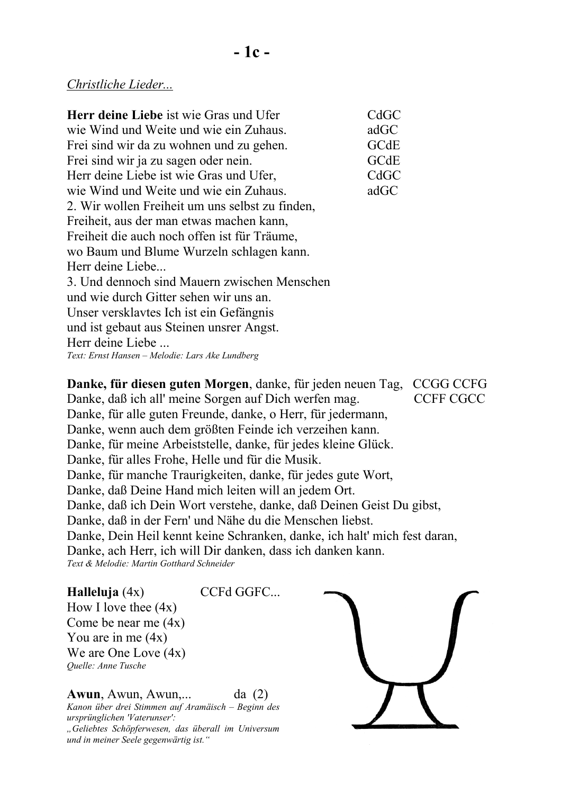### *Christliche Lieder...*

**Herr deine Liebe** ist wie Gras und Ufer CdGC wie Wind und Weite und wie ein Zuhaus. adGC Frei sind wir da zu wohnen und zu gehen. GCdE Frei sind wir ja zu sagen oder nein. GCdE Herr deine Liebe ist wie Gras und Ufer, CdGC wie Wind und Weite und wie ein Zuhaus. adGC 2. Wir wollen Freiheit um uns selbst zu finden, Freiheit, aus der man etwas machen kann, Freiheit die auch noch offen ist für Träume, wo Baum und Blume Wurzeln schlagen kann. Herr deine Liebe... 3. Und dennoch sind Mauern zwischen Menschen und wie durch Gitter sehen wir uns an. Unser versklavtes Ich ist ein Gefängnis und ist gebaut aus Steinen unsrer Angst. Herr deine Liebe ... *Text: Ernst Hansen – Melodie: Lars Ake Lundberg*

**Danke, für diesen guten Morgen**, danke, für jeden neuen Tag, CCGG CCFG Danke, daß ich all' meine Sorgen auf Dich werfen mag. CCFF CGCC Danke, für alle guten Freunde, danke, o Herr, für jedermann, Danke, wenn auch dem größten Feinde ich verzeihen kann. Danke, für meine Arbeiststelle, danke, für jedes kleine Glück. Danke, für alles Frohe, Helle und für die Musik. Danke, für manche Traurigkeiten, danke, für jedes gute Wort, Danke, daß Deine Hand mich leiten will an jedem Ort. Danke, daß ich Dein Wort verstehe, danke, daß Deinen Geist Du gibst, Danke, daß in der Fern' und Nähe du die Menschen liebst. Danke, Dein Heil kennt keine Schranken, danke, ich halt' mich fest daran, Danke, ach Herr, ich will Dir danken, dass ich danken kann. *Text & Melodie: Martin Gotthard Schneider*

#### **Halleluja** (4x) CCFd GGFC...

How I love thee  $(4x)$ Come be near me (4x) You are in me  $(4x)$ We are One Love (4x) *Quelle: Anne Tusche*

**Awun**, Awun, Awun,... da (2)

*Kanon über drei Stimmen auf Aramäisch – Beginn des ursprünglichen 'Vaterunser': "Geliebtes Schöpferwesen, das überall im Universum und in meiner Seele gegenwärtig ist."*